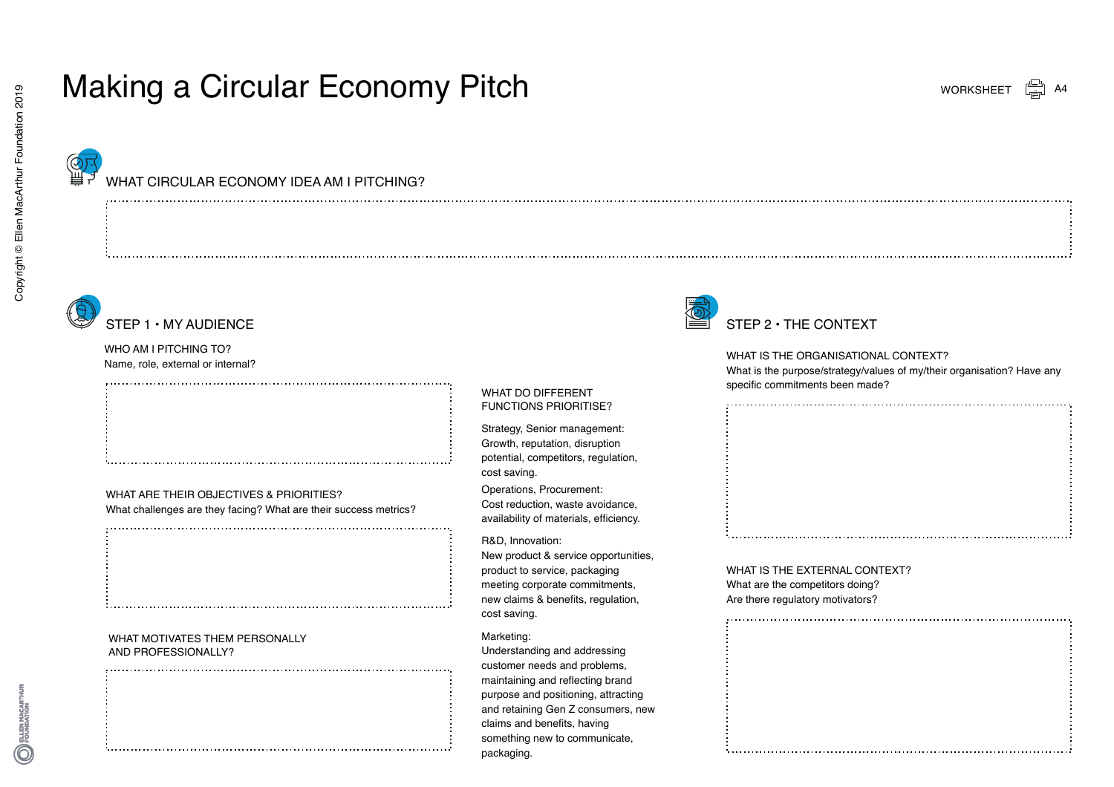# Making a Circular Economy Pitch



Copyright © Ellen MacArthur Foundation 2019

Copyright © Ellen MacArthur Foundation 2019

### WHAT CIRCULAR ECONOMY IDEA AM LPITCHING?



### STEP 1 • MY AUDIENCE

WHO AM I PITCHING TO? Name, role, external or internal?

### WHAT ARE THEIR OBJECTIVES & PRIORITIES? What challenges are they facing? What are their success metrics?

#### WHAT MOTIVATES THEM PERSONALLY AND PROFESSIONALLY?



Strategy, Senior management: Growth, reputation, disruption potential, competitors, regulation,

WHAT DO DIFFERENT FUNCTIONS PRIORITISE?

Operations, Procurement: Cost reduction, waste avoidance, availability of materials, efficiency.

Understanding and addressing customer needs and problems, maintaining and reflecting brand purpose and positioning, attracting and retaining Gen Z consumers, new

New product & service opportunities, product to service, packaging meeting corporate commitments, new claims & benefits, regulation,

claims and benefits, having something new to communicate,

cost saving.

R&D, Innovation:

Marketing:

cost saving.

packaging.

## STEP 2 • THE CONTEXT

#### WHAT IS THE ORGANISATIONAL CONTEXT?

What is the purpose/strategy/values of my/their organisation? Have any specific commitments been made?

WHAT IS THE EXTERNAL CONTEXT? What are the competitors doing? Are there regulatory motivators?

ELLEN MACARTHUR<br>FOUNDATION

WORKSHEET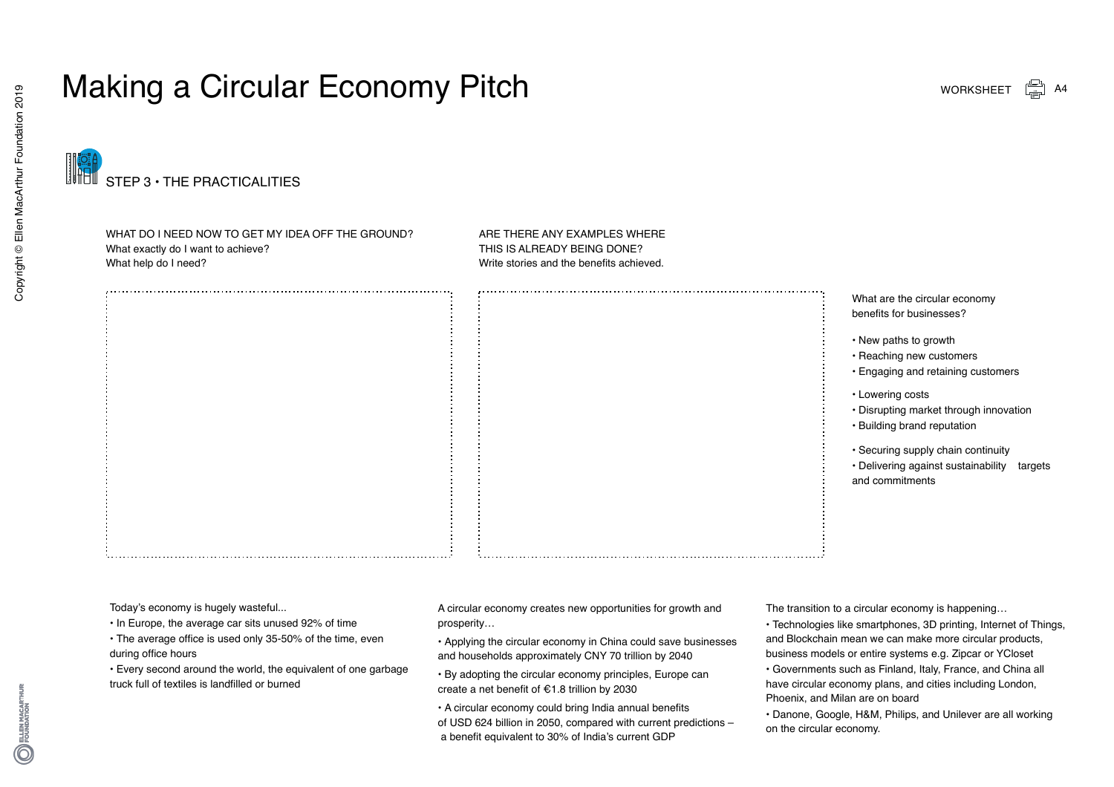# Making a Circular Economy Pitch





WHAT DO I NEED NOW TO GET MY IDEA OFF THE GROUND? What exactly do I want to achieve? What help do I need?

ARE THERE ANY EXAMPLES WHERE THIS IS ALREADY BEING DONE? Write stories and the benefits achieved.

> What are the circular economy benefits for businesses?

- New paths to growth
- Reaching new customers
- Engaging and retaining customers
- Lowering costs
- Disrupting market through innovation
- Building brand reputation
- Securing supply chain continuity
- Delivering against sustainability targets and commitments

Today's economy is hugely wasteful...

- In Europe, the average car sits unused 92% of time
- The average office is used only 35-50% of the time, even during office hours
- Every second around the world, the equivalent of one garbage truck full of textiles is landfilled or burned

A circular economy creates new opportunities for growth and prosperity…

- Applying the circular economy in China could save businesses and households approximately CNY 70 trillion by 2040
- By adopting the circular economy principles, Europe can create a net benefit of €1.8 trillion by 2030
- A circular economy could bring India annual benefits of USD 624 billion in 2050, compared with current predictions – a benefit equivalent to 30% of India's current GDP

The transition to a circular economy is happening…

• Technologies like smartphones, 3D printing, Internet of Things, and Blockchain mean we can make more circular products, business models or entire systems e.g. Zipcar or YCloset

• Governments such as Finland, Italy, France, and China all have circular economy plans, and cities including London, Phoenix, and Milan are on board

• Danone, Google, H&M, Philips, and Unilever are all working on the circular economy.